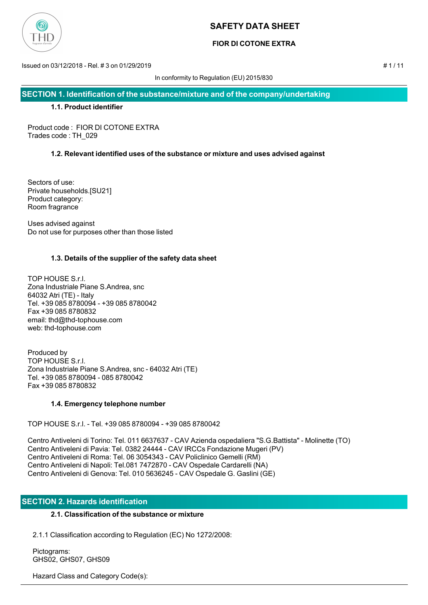

## **FIOR DI COTONE EXTRA**

Issued on 03/12/2018 - Rel. # 3 on 01/29/2019 # 1 / 11

In conformity to Regulation (EU) 2015/830

**SECTION 1. Identification of the substance/mixture and of the company/undertaking**

## **1.1. Product identifier**

Product code : FIOR DI COTONE EXTRA Trades code : TH\_029

## **1.2. Relevant identified uses of the substance or mixture and uses advised against**

Sectors of use: Private households.[SU21] Product category: Room fragrance

Uses advised against Do not use for purposes other than those listed

## **1.3. Details of the supplier of the safety data sheet**

TOP HOUSE S.r.l. Zona Industriale Piane S.Andrea, snc 64032 Atri (TE) - Italy Tel. +39 085 8780094 - +39 085 8780042 Fax +39 085 8780832 email: thd@thd-tophouse.com web: thd-tophouse.com

Produced by TOP HOUSE S.r.l. Zona Industriale Piane S.Andrea, snc - 64032 Atri (TE) Tel. +39 085 8780094 - 085 8780042 Fax +39 085 8780832

## **1.4. Emergency telephone number**

TOP HOUSE S.r.l. - Tel. +39 085 8780094 - +39 085 8780042

Centro Antiveleni di Torino: Tel. 011 6637637 - CAV Azienda ospedaliera "S.G.Battista" - Molinette (TO) Centro Antiveleni di Pavia: Tel. 0382 24444 - CAV IRCCs Fondazione Mugeri (PV) Centro Antiveleni di Roma: Tel. 06 3054343 - CAV Policlinico Gemelli (RM) Centro Antiveleni di Napoli: Tel.081 7472870 - CAV Ospedale Cardarelli (NA) Centro Antiveleni di Genova: Tel. 010 5636245 - CAV Ospedale G. Gaslini (GE)

## **SECTION 2. Hazards identification**

## **2.1. Classification of the substance or mixture**

2.1.1 Classification according to Regulation (EC) No 1272/2008:

 Pictograms: GHS02, GHS07, GHS09

Hazard Class and Category Code(s):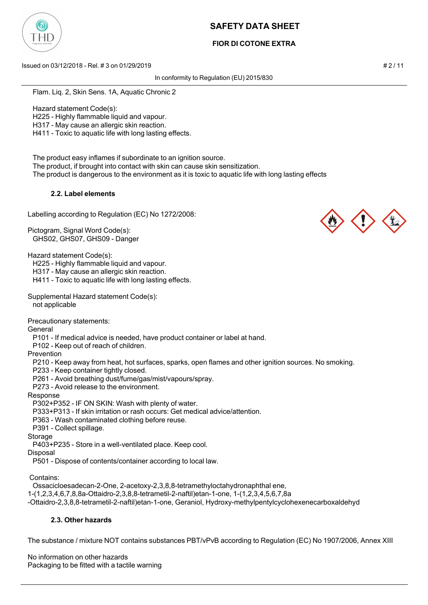

## **FIOR DI COTONE EXTRA**

Issued on 03/12/2018 - Rel. # 3 on 01/29/2019 # 2 / 11

In conformity to Regulation (EU) 2015/830

Flam. Liq. 2, Skin Sens. 1A, Aquatic Chronic 2

Hazard statement Code(s):

H225 - Highly flammable liquid and vapour.

H317 - May cause an allergic skin reaction.

H411 - Toxic to aquatic life with long lasting effects.

 The product easy inflames if subordinate to an ignition source. The product, if brought into contact with skin can cause skin sensitization. The product is dangerous to the environment as it is toxic to aquatic life with long lasting effects

## **2.2. Label elements**

Labelling according to Regulation (EC) No 1272/2008:

Pictogram, Signal Word Code(s): GHS02, GHS07, GHS09 - Danger

Hazard statement Code(s):

H225 - Highly flammable liquid and vapour.

H317 - May cause an allergic skin reaction.

H411 - Toxic to aquatic life with long lasting effects.

Supplemental Hazard statement Code(s): not applicable

Precautionary statements:

**General** 

P101 - If medical advice is needed, have product container or label at hand.

P102 - Keep out of reach of children.

Prevention

P210 - Keep away from heat, hot surfaces, sparks, open flames and other ignition sources. No smoking.

P233 - Keep container tightly closed.

P261 - Avoid breathing dust/fume/gas/mist/vapours/spray.

P273 - Avoid release to the environment.

Response

P302+P352 - IF ON SKIN: Wash with plenty of water.

P333+P313 - If skin irritation or rash occurs: Get medical advice/attention.

P363 - Wash contaminated clothing before reuse.

P391 - Collect spillage.

Storage

P403+P235 - Store in a well-ventilated place. Keep cool.

Disposal

P501 - Dispose of contents/container according to local law.

Contains:

Ossacicloesadecan-2-One, 2-acetoxy-2,3,8,8-tetramethyloctahydronaphthal ene,

1-(1,2,3,4,6,7,8,8a-Ottaidro-2,3,8,8-tetrametil-2-naftil)etan-1-one, 1-(1,2,3,4,5,6,7,8a

-Ottaidro-2,3,8,8-tetrametil-2-naftil)etan-1-one, Geraniol, Hydroxy-methylpentylcyclohexenecarboxaldehyd

## **2.3. Other hazards**

The substance / mixture NOT contains substances PBT/vPvB according to Regulation (EC) No 1907/2006, Annex XIII

No information on other hazards Packaging to be fitted with a tactile warning



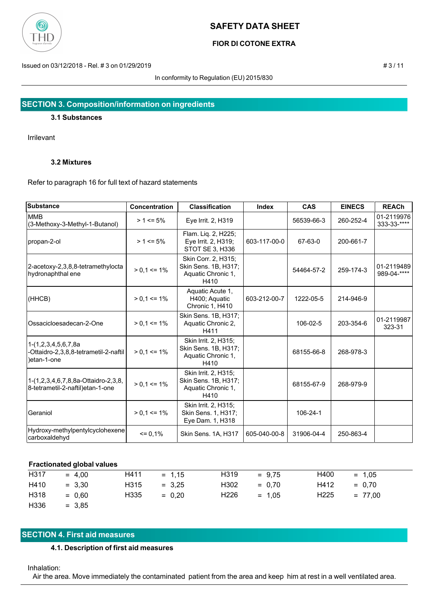

## **FIOR DI COTONE EXTRA**

Issued on 03/12/2018 - Rel. # 3 on 01/29/2019 **# 3/11** 

In conformity to Regulation (EU) 2015/830

## **SECTION 3. Composition/information on ingredients**

### **3.1 Substances**

Irrilevant

## **3.2 Mixtures**

Refer to paragraph 16 for full text of hazard statements

| <b>Substance</b>                                                            | Concentration   | <b>Classification</b>                                                      | <b>Index</b> | <b>CAS</b> | <b>EINECS</b> | <b>REACh</b>              |
|-----------------------------------------------------------------------------|-----------------|----------------------------------------------------------------------------|--------------|------------|---------------|---------------------------|
| <b>MMB</b><br>(3-Methoxy-3-Methyl-1-Butanol)                                | $> 1 \le 5\%$   | Eye Irrit. 2, H319                                                         |              | 56539-66-3 | 260-252-4     | 01-2119976<br>333-33-**** |
| propan-2-ol                                                                 | $> 1 \le 5\%$   | Flam. Liq. 2, H225;<br>Eye Irrit. 2, H319;<br>STOT SE 3, H336              | 603-117-00-0 | 67-63-0    | 200-661-7     |                           |
| 2-acetoxy-2,3,8,8-tetramethylocta<br>hydronaphthal ene                      | $> 0,1 \le 1\%$ | Skin Corr. 2, H315;<br>Skin Sens. 1B, H317;<br>Aquatic Chronic 1,<br>H410  |              | 54464-57-2 | 259-174-3     | 01-2119489<br>989-04-**** |
| (HHCB)                                                                      | $> 0.1 \le 1\%$ | Aquatic Acute 1,<br>H400; Aquatic<br>Chronic 1, H410                       | 603-212-00-7 | 1222-05-5  | 214-946-9     |                           |
| Ossacicloesadecan-2-One                                                     | $> 0.1 \le 1\%$ | Skin Sens. 1B, H317;<br>Aquatic Chronic 2,<br>H411                         |              | 106-02-5   | 203-354-6     | 01-2119987<br>323-31      |
| 1-(1,2,3,4,5,6,7,8a<br>-Ottaidro-2,3,8,8-tetrametil-2-naftil<br>)etan-1-one | $> 0.1 \le 1\%$ | Skin Irrit. 2, H315;<br>Skin Sens. 1B, H317;<br>Aquatic Chronic 1,<br>H410 |              | 68155-66-8 | 268-978-3     |                           |
| 1-(1,2,3,4,6,7,8,8a-Ottaidro-2,3,8,<br>8-tetrametil-2-naftil)etan-1-one     | $> 0,1 \le 1\%$ | Skin Irrit. 2, H315;<br>Skin Sens. 1B, H317;<br>Aquatic Chronic 1,<br>H410 |              | 68155-67-9 | 268-979-9     |                           |
| <b>Geraniol</b>                                                             | $> 0.1 \le 1\%$ | Skin Irrit. 2, H315;<br>Skin Sens. 1, H317;<br>Eye Dam. 1, H318            |              | 106-24-1   |               |                           |
| Hydroxy-methylpentylcyclohexene<br>carboxaldehyd                            | $= 0,1%$        | Skin Sens. 1A, H317                                                        | 605-040-00-8 | 31906-04-4 | 250-863-4     |                           |

## **Fractionated global values**

| H317 | $= 4.00$ | H411 | $= 1.15$ | H319             | $= 9.75$ | H400             | $= 1.05$  |
|------|----------|------|----------|------------------|----------|------------------|-----------|
| H410 | $= 3.30$ | H315 | $= 3.25$ | H302             | $= 0.70$ | H412             | $= 0.70$  |
| H318 | $= 0.60$ | H335 | $= 0.20$ | H <sub>226</sub> | $= 1.05$ | H <sub>225</sub> | $= 77.00$ |
| H336 | $= 3.85$ |      |          |                  |          |                  |           |

## **SECTION 4. First aid measures**

## **4.1. Description of first aid measures**

#### Inhalation:

Air the area. Move immediately the contaminated patient from the area and keep him at rest in a well ventilated area.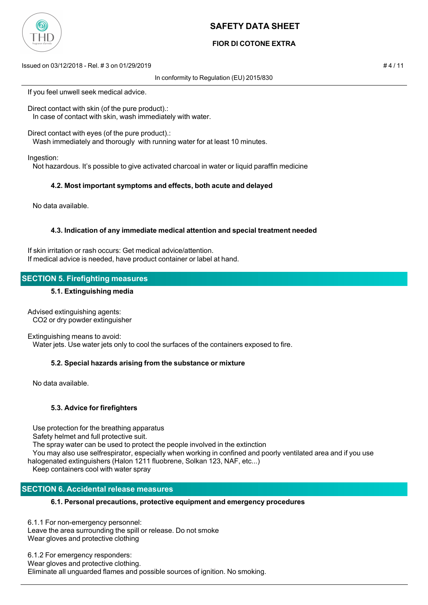

## **FIOR DI COTONE EXTRA**

Issued on 03/12/2018 - Rel. # 3 on 01/29/2019 # 4 / 11

In conformity to Regulation (EU) 2015/830

If you feel unwell seek medical advice.

Direct contact with skin (of the pure product).: In case of contact with skin, wash immediately with water.

Direct contact with eyes (of the pure product).:

Wash immediately and thorougly with running water for at least 10 minutes.

Ingestion:

Not hazardous. It's possible to give activated charcoal in water or liquid paraffin medicine

## **4.2. Most important symptoms and effects, both acute and delayed**

No data available.

## **4.3. Indication of any immediate medical attention and special treatment needed**

If skin irritation or rash occurs: Get medical advice/attention. If medical advice is needed, have product container or label at hand.

## **SECTION 5. Firefighting measures**

## **5.1. Extinguishing media**

Advised extinguishing agents: CO2 or dry powder extinguisher

Extinguishing means to avoid:

Water jets. Use water jets only to cool the surfaces of the containers exposed to fire.

## **5.2. Special hazards arising from the substance or mixture**

No data available.

## **5.3. Advice for firefighters**

 Use protection for the breathing apparatus Safety helmet and full protective suit. The spray water can be used to protect the people involved in the extinction You may also use selfrespirator, especially when working in confined and poorly ventilated area and if you use halogenated extinguishers (Halon 1211 fluobrene, Solkan 123, NAF, etc...) Keep containers cool with water spray

## **SECTION 6. Accidental release measures**

## **6.1. Personal precautions, protective equipment and emergency procedures**

6.1.1 For non-emergency personnel: Leave the area surrounding the spill or release. Do not smoke Wear gloves and protective clothing

6.1.2 For emergency responders: Wear gloves and protective clothing. Eliminate all unguarded flames and possible sources of ignition. No smoking.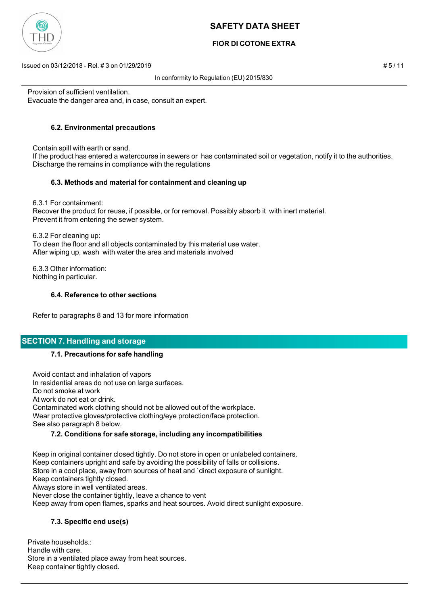

## **FIOR DI COTONE EXTRA**

Issued on 03/12/2018 - Rel. # 3 on 01/29/2019 # 5 / 11

In conformity to Regulation (EU) 2015/830

Provision of sufficient ventilation. Evacuate the danger area and, in case, consult an expert.

## **6.2. Environmental precautions**

 Contain spill with earth or sand. If the product has entered a watercourse in sewers or has contaminated soil or vegetation, notify it to the authorities. Discharge the remains in compliance with the regulations

## **6.3. Methods and material for containment and cleaning up**

 6.3.1 For containment: Recover the product for reuse, if possible, or for removal. Possibly absorb it with inert material. Prevent it from entering the sewer system.

 6.3.2 For cleaning up: To clean the floor and all objects contaminated by this material use water. After wiping up, wash with water the area and materials involved

 6.3.3 Other information: Nothing in particular.

## **6.4. Reference to other sections**

Refer to paragraphs 8 and 13 for more information

## **SECTION 7. Handling and storage**

## **7.1. Precautions for safe handling**

 Avoid contact and inhalation of vapors In residential areas do not use on large surfaces. Do not smoke at work At work do not eat or drink. Contaminated work clothing should not be allowed out of the workplace. Wear protective gloves/protective clothing/eye protection/face protection. See also paragraph 8 below.

## **7.2. Conditions for safe storage, including any incompatibilities**

 Keep in original container closed tightly. Do not store in open or unlabeled containers. Keep containers upright and safe by avoiding the possibility of falls or collisions. Store in a cool place, away from sources of heat and `direct exposure of sunlight. Keep containers tightly closed. Always store in well ventilated areas. Never close the container tightly, leave a chance to vent Keep away from open flames, sparks and heat sources. Avoid direct sunlight exposure.

## **7.3. Specific end use(s)**

Private households.: Handle with care. Store in a ventilated place away from heat sources. Keep container tightly closed.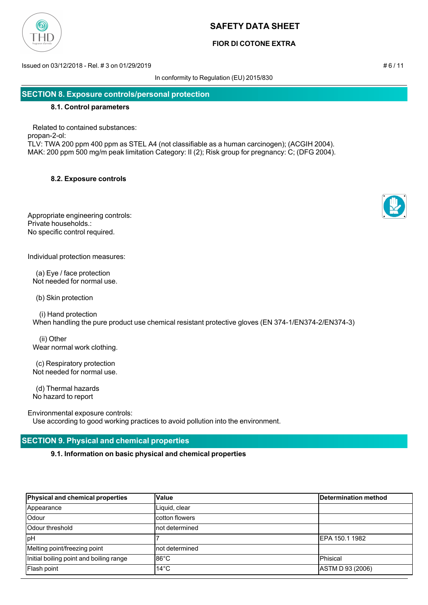

## **FIOR DI COTONE EXTRA**

Issued on 03/12/2018 - Rel. # 3 on 01/29/2019 # 6 / 11

In conformity to Regulation (EU) 2015/830

## **SECTION 8. Exposure controls/personal protection**

#### **8.1. Control parameters**

 Related to contained substances: propan-2-ol: TLV: TWA 200 ppm 400 ppm as STEL A4 (not classifiable as a human carcinogen); (ACGIH 2004). MAK: 200 ppm 500 mg/m peak limitation Category: II (2); Risk group for pregnancy: C; (DFG 2004).

## **8.2. Exposure controls**

Appropriate engineering controls: Private households.: No specific control required.

Individual protection measures:

 (a) Eye / face protection Not needed for normal use.

(b) Skin protection

 (i) Hand protection When handling the pure product use chemical resistant protective gloves (EN 374-1/EN374-2/EN374-3)

 (ii) Other Wear normal work clothing.

 (c) Respiratory protection Not needed for normal use.

 (d) Thermal hazards No hazard to report

Environmental exposure controls:

Use according to good working practices to avoid pollution into the environment.

## **SECTION 9. Physical and chemical properties**

**9.1. Information on basic physical and chemical properties**

| Physical and chemical properties        | <b>Value</b>   | Determination method |
|-----------------------------------------|----------------|----------------------|
| Appearance                              | Liquid, clear  |                      |
| Odour                                   | cotton flowers |                      |
| <b>Odour threshold</b>                  | not determined |                      |
| <b>IpH</b>                              |                | IEPA 150.1 1982      |
| Melting point/freezing point            | not determined |                      |
| Initial boiling point and boiling range | l86°C          | Phisical             |
| Flash point                             | $14^{\circ}$ C | ASTM D 93 (2006)     |



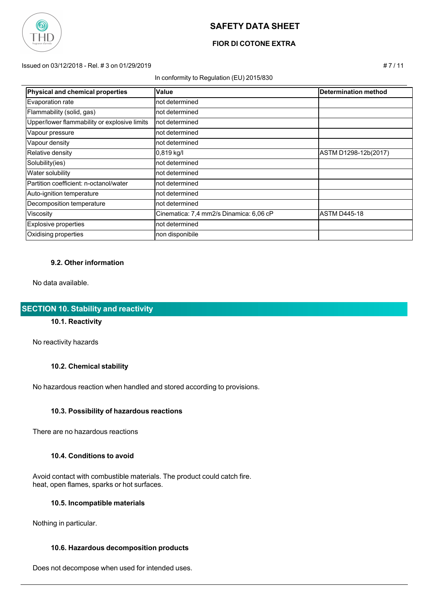

## **FIOR DI COTONE EXTRA**

Issued on 03/12/2018 - Rel. # 3 on 01/29/2019 # 7 / 11

#### In conformity to Regulation (EU) 2015/830

| Physical and chemical properties             | Value                                   | Determination method |
|----------------------------------------------|-----------------------------------------|----------------------|
| Evaporation rate                             | not determined                          |                      |
| Flammability (solid, gas)                    | not determined                          |                      |
| Upper/lower flammability or explosive limits | not determined                          |                      |
| Vapour pressure                              | not determined                          |                      |
| Vapour density                               | not determined                          |                      |
| Relative density                             | $0,819$ kg/l                            | ASTM D1298-12b(2017) |
| Solubility(ies)                              | not determined                          |                      |
| Water solubility                             | not determined                          |                      |
| Partition coefficient: n-octanol/water       | not determined                          |                      |
| Auto-ignition temperature                    | not determined                          |                      |
| Decomposition temperature                    | not determined                          |                      |
| Viscosity                                    | Cinematica: 7,4 mm2/s Dinamica: 6,06 cP | <b>ASTM D445-18</b>  |
| Explosive properties                         | not determined                          |                      |
| Oxidising properties                         | non disponibile                         |                      |

## **9.2. Other information**

No data available.

## **SECTION 10. Stability and reactivity**

## **10.1. Reactivity**

No reactivity hazards

#### **10.2. Chemical stability**

No hazardous reaction when handled and stored according to provisions.

#### **10.3. Possibility of hazardous reactions**

There are no hazardous reactions

#### **10.4. Conditions to avoid**

 Avoid contact with combustible materials. The product could catch fire. heat, open flames, sparks or hot surfaces.

## **10.5. Incompatible materials**

Nothing in particular.

## **10.6. Hazardous decomposition products**

Does not decompose when used for intended uses.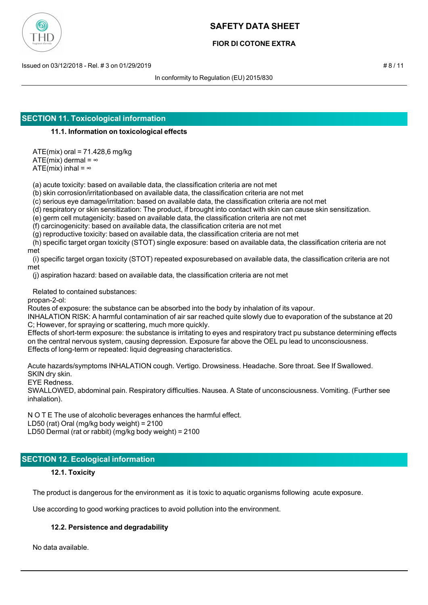

## **FIOR DI COTONE EXTRA**

Issued on 03/12/2018 - Rel. # 3 on 01/29/2019 # 8 / 11

In conformity to Regulation (EU) 2015/830

## **SECTION 11. Toxicological information**

## **11.1. Information on toxicological effects**

 ATE(mix) oral = 71.428,6 mg/kg ATE(mix) dermal =  $\infty$ 

ATE(mix) inhal =  $\infty$ 

(a) acute toxicity: based on available data, the classification criteria are not met

(b) skin corrosion/irritationbased on available data, the classification criteria are not met

(c) serious eye damage/irritation: based on available data, the classification criteria are not met

(d) respiratory or skin sensitization: The product, if brought into contact with skin can cause skin sensitization.

(e) germ cell mutagenicity: based on available data, the classification criteria are not met

(f) carcinogenicity: based on available data, the classification criteria are not met

(g) reproductive toxicity: based on available data, the classification criteria are not met

 (h) specific target organ toxicity (STOT) single exposure: based on available data, the classification criteria are not met

 (i) specific target organ toxicity (STOT) repeated exposurebased on available data, the classification criteria are not met

(j) aspiration hazard: based on available data, the classification criteria are not met

Related to contained substances:

propan-2-ol:

Routes of exposure: the substance can be absorbed into the body by inhalation of its vapour.

INHALATION RISK: A harmful contamination of air sar reached quite slowly due to evaporation of the substance at 20 C; However, for spraying or scattering, much more quickly.

Effects of short-term exposure: the substance is irritating to eyes and respiratory tract pu substance determining effects on the central nervous system, causing depression. Exposure far above the OEL pu lead to unconsciousness. Effects of long-term or repeated: liquid degreasing characteristics.

Acute hazards/symptoms INHALATION cough. Vertigo. Drowsiness. Headache. Sore throat. See If Swallowed. SKIN dry skin.

EYE Redness.

SWALLOWED, abdominal pain. Respiratory difficulties. Nausea. A State of unconsciousness. Vomiting. (Further see inhalation).

N O T E The use of alcoholic beverages enhances the harmful effect. LD50 (rat) Oral (mg/kg body weight) = 2100 LD50 Dermal (rat or rabbit) (mg/kg body weight) = 2100

# **SECTION 12. Ecological information**

## **12.1. Toxicity**

The product is dangerous for the environment as it is toxic to aquatic organisms following acute exposure.

Use according to good working practices to avoid pollution into the environment.

## **12.2. Persistence and degradability**

No data available.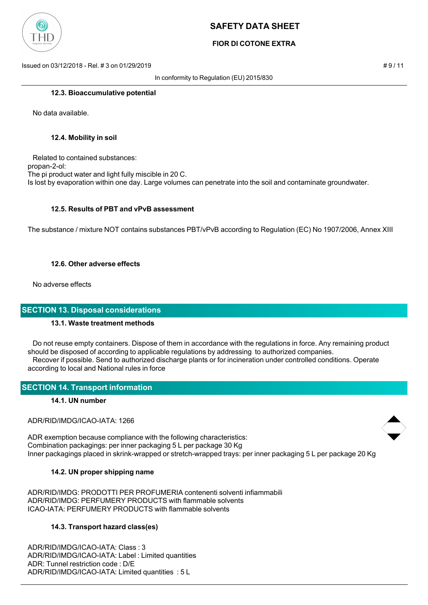

## **FIOR DI COTONE EXTRA**

Issued on 03/12/2018 - Rel. # 3 on 01/29/2019 # 9 / 11

In conformity to Regulation (EU) 2015/830

#### **12.3. Bioaccumulative potential**

No data available.

#### **12.4. Mobility in soil**

 Related to contained substances: propan-2-ol: The pi product water and light fully miscible in 20 C. Is lost by evaporation within one day. Large volumes can penetrate into the soil and contaminate groundwater.

## **12.5. Results of PBT and vPvB assessment**

The substance / mixture NOT contains substances PBT/vPvB according to Regulation (EC) No 1907/2006, Annex XIII

## **12.6. Other adverse effects**

No adverse effects

## **SECTION 13. Disposal considerations**

## **13.1. Waste treatment methods**

 Do not reuse empty containers. Dispose of them in accordance with the regulations in force. Any remaining product should be disposed of according to applicable regulations by addressing to authorized companies. Recover if possible. Send to authorized discharge plants or for incineration under controlled conditions. Operate according to local and National rules in force

## **SECTION 14. Transport information**

## **14.1. UN number**

ADR/RID/IMDG/ICAO-IATA: 1266

ADR exemption because compliance with the following characteristics: Combination packagings: per inner packaging 5 L per package 30 Kg Inner packagings placed in skrink-wrapped or stretch-wrapped trays: per inner packaging 5 L per package 20 Kg

## **14.2. UN proper shipping name**

ADR/RID/IMDG: PRODOTTI PER PROFUMERIA contenenti solventi infiammabili ADR/RID/IMDG: PERFUMERY PRODUCTS with flammable solvents ICAO-IATA: PERFUMERY PRODUCTS with flammable solvents

## **14.3. Transport hazard class(es)**

ADR/RID/IMDG/ICAO-IATA: Class : 3 ADR/RID/IMDG/ICAO-IATA: Label : Limited quantities ADR: Tunnel restriction code : D/E ADR/RID/IMDG/ICAO-IATA: Limited quantities : 5 L

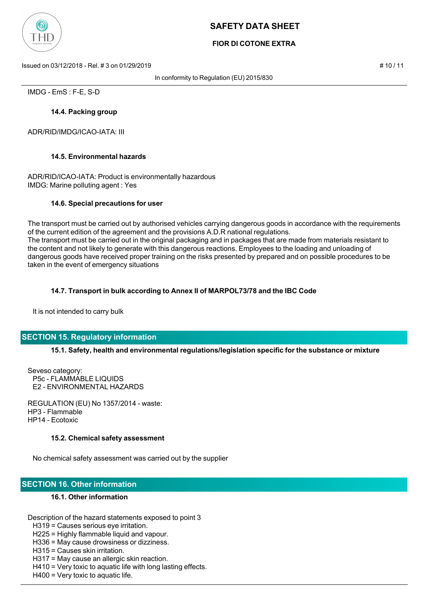

## **FIOR DI COTONE EXTRA**

Issued on 03/12/2018 - Rel. # 3 on 01/29/2019 # 10 / 11

In conformity to Regulation (EU) 2015/830

IMDG - EmS : F-E, S-D

## **14.4. Packing group**

ADR/RID/IMDG/ICAO-IATA: III

## **14.5. Environmental hazards**

ADR/RID/ICAO-IATA: Product is environmentally hazardous IMDG: Marine polluting agent : Yes

## **14.6. Special precautions for user**

The transport must be carried out by authorised vehicles carrying dangerous goods in accordance with the requirements of the current edition of the agreement and the provisions A.D.R national regulations. The transport must be carried out in the original packaging and in packages that are made from materials resistant to the content and not likely to generate with this dangerous reactions. Employees to the loading and unloading of dangerous goods have received proper training on the risks presented by prepared and on possible procedures to be taken in the event of emergency situations

## **14.7. Transport in bulk according to Annex II of MARPOL73/78 and the IBC Code**

It is not intended to carry bulk

## **SECTION 15. Regulatory information**

**15.1. Safety, health and environmental regulations/legislation specific for the substance or mixture**

Seveso category: P5c - FLAMMABLE LIQUIDS E2 - ENVIRONMENTAL HAZARDS

REGULATION (EU) No 1357/2014 - waste: HP3 - Flammable HP14 - Ecotoxic

## **15.2. Chemical safety assessment**

No chemical safety assessment was carried out by the supplier

## **SECTION 16. Other information**

## **16.1. Other information**

Description of the hazard statements exposed to point 3

H319 = Causes serious eye irritation.

H225 = Highly flammable liquid and vapour.

H336 = May cause drowsiness or dizziness.

- H315 = Causes skin irritation.
- H317 = May cause an allergic skin reaction.
- H410 = Very toxic to aquatic life with long lasting effects.

H400 = Very toxic to aquatic life.